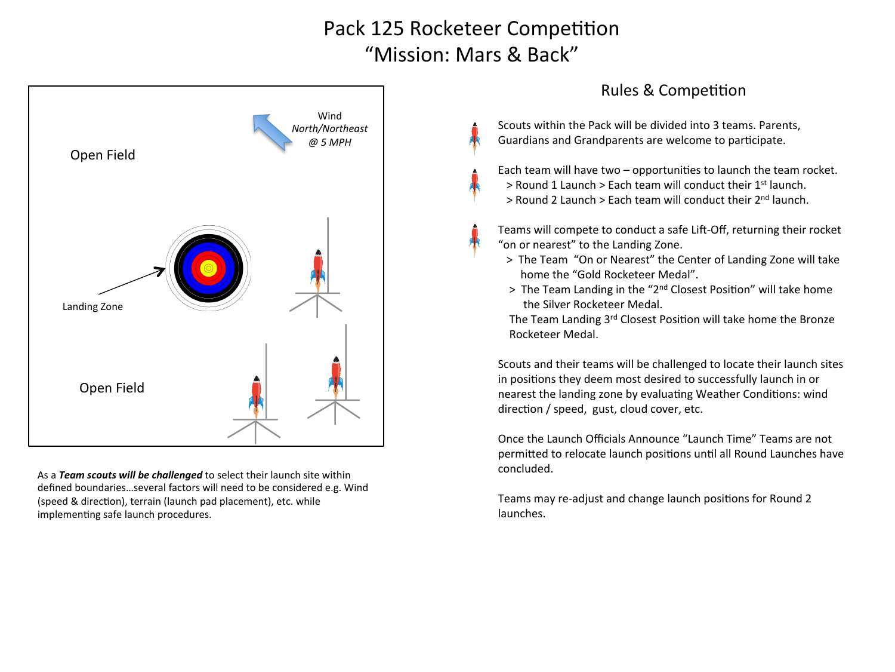## Pack 125 Rocketeer Competition "Mission: Mars & Back"



As a **Team scouts will be challenged** to select their launch site within defined boundaries...several factors will need to be considered e.g. Wind (speed & direction), terrain (launch pad placement), etc. while implementing safe launch procedures.

## Rules & Competition

Scouts within the Pack will be divided into 3 teams. Parents, Guardians and Grandparents are welcome to participate.

Each team will have two  $-$  opportunities to launch the team rocket. > Round 1 Launch > Each team will conduct their 1<sup>st</sup> launch.  $>$  Round 2 Launch  $>$  Each team will conduct their  $2<sup>nd</sup>$  launch.

Teams will compete to conduct a safe Lift-Off, returning their rocket "on or nearest" to the Landing Zone.

- > The Team "On or Nearest" the Center of Landing Zone will take home the "Gold Rocketeer Medal".
- > The Team Landing in the "2<sup>nd</sup> Closest Position" will take home the Silver Rocketeer Medal.

The Team Landing 3rd Closest Position will take home the Bronze Rocketeer Medal. 

Scouts and their teams will be challenged to locate their launch sites in positions they deem most desired to successfully launch in or nearest the landing zone by evaluating Weather Conditions: wind direction / speed, gust, cloud cover, etc.

Once the Launch Officials Announce "Launch Time" Teams are not permitted to relocate launch positions until all Round Launches have concluded. 

Teams may re-adjust and change launch positions for Round 2 launches.